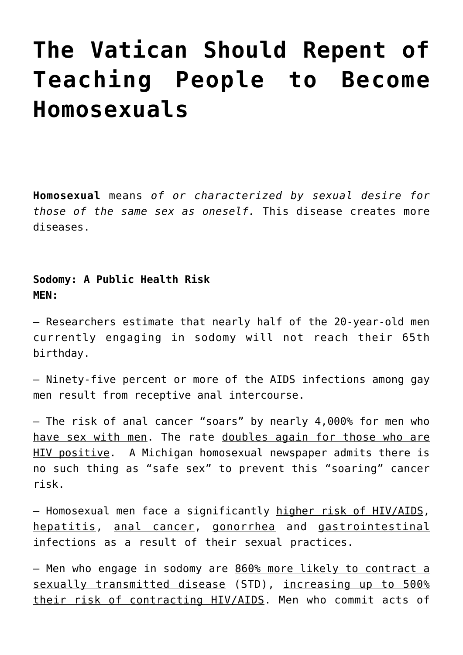# **[The Vatican Should Repent of](https://yahwehsbranch.com/the-vatican-should-repent-of-teaching-people-to-become-homosexuals/) [Teaching People to Become](https://yahwehsbranch.com/the-vatican-should-repent-of-teaching-people-to-become-homosexuals/) [Homosexuals](https://yahwehsbranch.com/the-vatican-should-repent-of-teaching-people-to-become-homosexuals/)**

**Homosexual** means *of or characterized by sexual desire for those of the same sex as oneself.* This disease creates more diseases.

**Sodomy: A Public Health Risk MEN:**

– Researchers estimate that nearly half of the 20-year-old men currently engaging in sodomy will not reach their 65th birthday.

– Ninety-five percent or more of the AIDS infections among gay men result from receptive anal intercourse.

– The risk of anal cancer "soars" by nearly 4,000% for men who have sex with men. The rate doubles again for those who are HIV positive. A Michigan homosexual newspaper admits there is no such thing as "safe sex" to prevent this "soaring" cancer risk.

– Homosexual men face a significantly higher risk of HIV/AIDS, hepatitis, anal cancer, gonorrhea and gastrointestinal infections as a result of their sexual practices.

– Men who engage in sodomy are 860% more likely to contract a sexually transmitted disease (STD), increasing up to 500% their risk of contracting HIV/AIDS. Men who commit acts of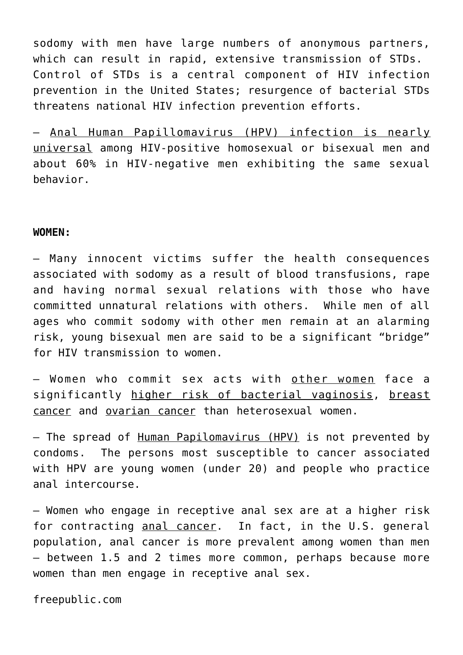sodomy with men have large numbers of anonymous partners, which can result in rapid, extensive transmission of STDs. Control of STDs is a central component of HIV infection prevention in the United States; resurgence of bacterial STDs threatens national HIV infection prevention efforts.

– Anal Human Papillomavirus (HPV) infection is nearly universal among HIV-positive homosexual or bisexual men and about 60% in HIV-negative men exhibiting the same sexual behavior.

#### **WOMEN:**

– Many innocent victims suffer the health consequences associated with sodomy as a result of blood transfusions, rape and having normal sexual relations with those who have committed unnatural relations with others. While men of all ages who commit sodomy with other men remain at an alarming risk, young bisexual men are said to be a significant "bridge" for HIV transmission to women.

– Women who commit sex acts with other women face a significantly higher risk of bacterial vaginosis, breast cancer and ovarian cancer than heterosexual women.

– The spread of Human Papilomavirus (HPV) is not prevented by condoms. The persons most susceptible to cancer associated with HPV are young women (under 20) and people who practice anal intercourse.

– Women who engage in receptive anal sex are at a higher risk for contracting anal cancer. In fact, in the U.S. general population, anal cancer is more prevalent among women than men — between 1.5 and 2 times more common, perhaps because more women than men engage in receptive anal sex.

freepublic.com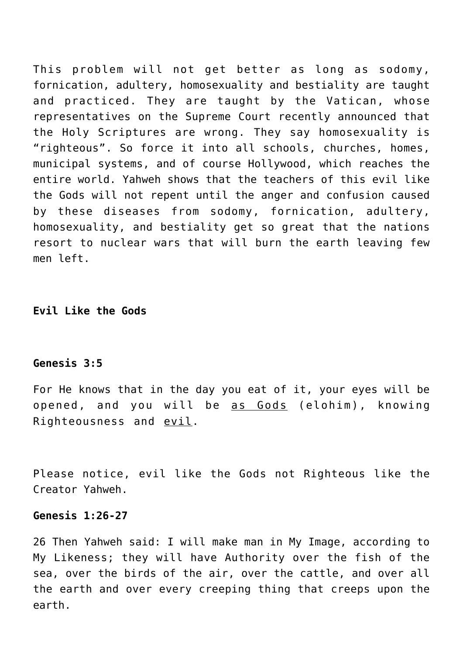This problem will not get better as long as sodomy, fornication, adultery, homosexuality and bestiality are taught and practiced. They are taught by the Vatican, whose representatives on the Supreme Court recently announced that the Holy Scriptures are wrong. They say homosexuality is "righteous". So force it into all schools, churches, homes, municipal systems, and of course Hollywood, which reaches the entire world. Yahweh shows that the teachers of this evil like the Gods will not repent until the anger and confusion caused by these diseases from sodomy, fornication, adultery, homosexuality, and bestiality get so great that the nations resort to nuclear wars that will burn the earth leaving few men left.

**Evil Like the Gods**

# **Genesis 3:5**

For He knows that in the day you eat of it, your eyes will be opened, and you will be as Gods (elohim), knowing Righteousness and evil.

Please notice, evil like the Gods not Righteous like the Creator Yahweh.

# **Genesis 1:26-27**

26 Then Yahweh said: I will make man in My Image, according to My Likeness; they will have Authority over the fish of the sea, over the birds of the air, over the cattle, and over all the earth and over every creeping thing that creeps upon the earth.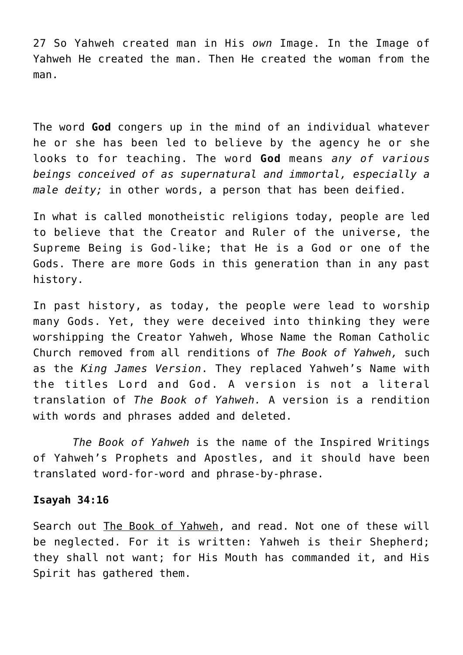27 So Yahweh created man in His *own* Image. In the Image of Yahweh He created the man. Then He created the woman from the man.

The word **God** congers up in the mind of an individual whatever he or she has been led to believe by the agency he or she looks to for teaching. The word **God** means *any of various beings conceived of as supernatural and immortal, especially a male deity;* in other words, a person that has been deified.

In what is called monotheistic religions today, people are led to believe that the Creator and Ruler of the universe, the Supreme Being is God-like; that He is a God or one of the Gods. There are more Gods in this generation than in any past history.

In past history, as today, the people were lead to worship many Gods. Yet, they were deceived into thinking they were worshipping the Creator Yahweh, Whose Name the Roman Catholic Church removed from all renditions of *The Book of Yahweh,* such as the *King James Version*. They replaced Yahweh's Name with the titles Lord and God. A version is not a literal translation of *The Book of Yahweh.* A version is a rendition with words and phrases added and deleted.

 *The Book of Yahweh* is the name of the Inspired Writings of Yahweh's Prophets and Apostles, and it should have been translated word-for-word and phrase-by-phrase.

# **Isayah 34:16**

Search out The Book of Yahweh, and read. Not one of these will be neglected. For it is written: Yahweh is their Shepherd; they shall not want; for His Mouth has commanded it, and His Spirit has gathered them.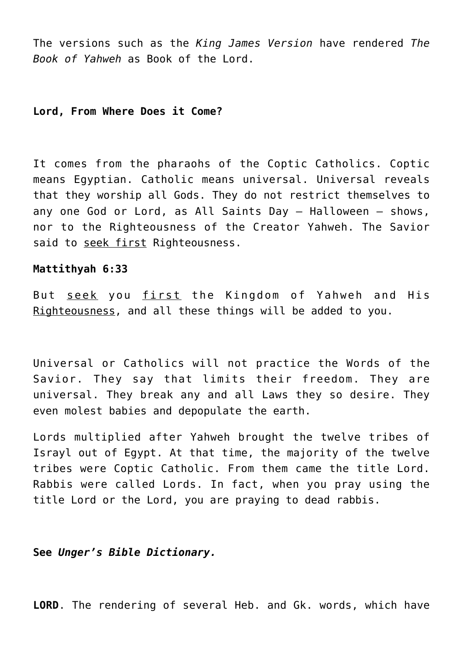The versions such as the *King James Version* have rendered *The Book of Yahweh* as Book of the Lord.

# **Lord, From Where Does it Come?**

It comes from the pharaohs of the Coptic Catholics. Coptic means Egyptian. Catholic means universal. Universal reveals that they worship all Gods. They do not restrict themselves to any one God or Lord, as All Saints Day – Halloween – shows, nor to the Righteousness of the Creator Yahweh. The Savior said to seek first Righteousness.

## **Mattithyah 6:33**

But seek you first the Kingdom of Yahweh and His Righteousness, and all these things will be added to you.

Universal or Catholics will not practice the Words of the Savior. They say that limits their freedom. They are universal. They break any and all Laws they so desire. They even molest babies and depopulate the earth.

Lords multiplied after Yahweh brought the twelve tribes of Israyl out of Egypt. At that time, the majority of the twelve tribes were Coptic Catholic. From them came the title Lord. Rabbis were called Lords. In fact, when you pray using the title Lord or the Lord, you are praying to dead rabbis.

**See** *Unger's Bible Dictionary.*

**LORD**. The rendering of several Heb. and Gk. words, which have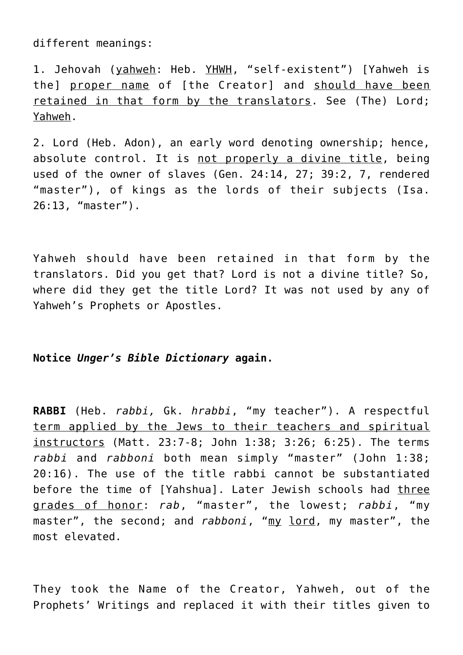different meanings:

1. Jehovah (yahweh: Heb. YHWH, "self-existent") [Yahweh is the] proper name of [the Creator] and should have been retained in that form by the translators. See (The) Lord; Yahweh.

2. Lord (Heb. Adon), an early word denoting ownership; hence, absolute control. It is not properly a divine title, being used of the owner of slaves (Gen. 24:14, 27; 39:2, 7, rendered "master"), of kings as the lords of their subjects (Isa. 26:13, "master").

Yahweh should have been retained in that form by the translators. Did you get that? Lord is not a divine title? So, where did they get the title Lord? It was not used by any of Yahweh's Prophets or Apostles.

# **Notice** *Unger's Bible Dictionary* **again.**

**RABBI** (Heb. *rabbi,* Gk. *hrabbi*, "my teacher"). A respectful term applied by the Jews to their teachers and spiritual instructors (Matt. 23:7-8; John 1:38; 3:26; 6:25). The terms *rabbi* and *rabboni* both mean simply "master" (John 1:38; 20:16). The use of the title rabbi cannot be substantiated before the time of [Yahshua]. Later Jewish schools had three grades of honor: *rab*, "master", the lowest; *rabbi*, "my master", the second; and *rabboni*, "my lord, my master", the most elevated.

They took the Name of the Creator, Yahweh, out of the Prophets' Writings and replaced it with their titles given to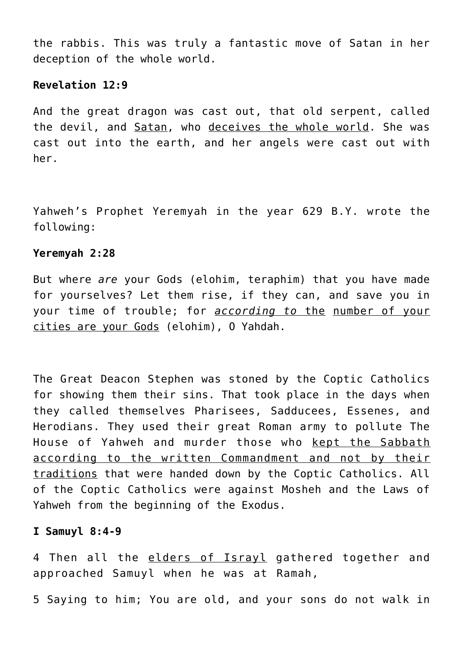the rabbis. This was truly a fantastic move of Satan in her deception of the whole world.

# **Revelation 12:9**

And the great dragon was cast out, that old serpent, called the devil, and Satan, who deceives the whole world. She was cast out into the earth, and her angels were cast out with her.

Yahweh's Prophet Yeremyah in the year 629 B.Y. wrote the following:

# **Yeremyah 2:28**

But where *are* your Gods (elohim, teraphim) that you have made for yourselves? Let them rise, if they can, and save you in your time of trouble; for *according to* the number of your cities are your Gods (elohim), O Yahdah.

The Great Deacon Stephen was stoned by the Coptic Catholics for showing them their sins. That took place in the days when they called themselves Pharisees, Sadducees, Essenes, and Herodians. They used their great Roman army to pollute The House of Yahweh and murder those who kept the Sabbath according to the written Commandment and not by their traditions that were handed down by the Coptic Catholics. All of the Coptic Catholics were against Mosheh and the Laws of Yahweh from the beginning of the Exodus.

# **I Samuyl 8:4-9**

4 Then all the elders of Israyl gathered together and approached Samuyl when he was at Ramah,

5 Saying to him; You are old, and your sons do not walk in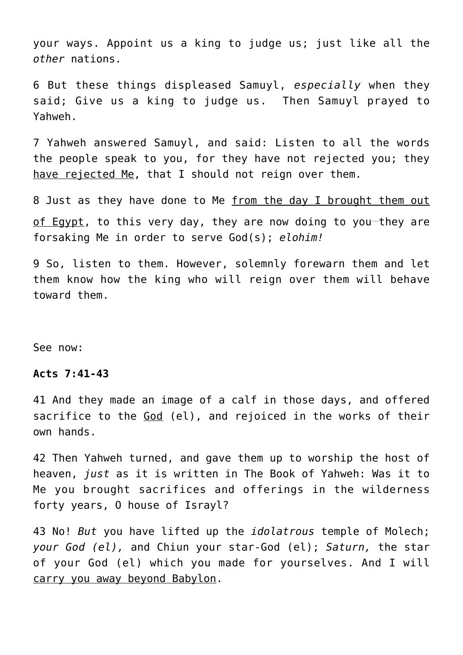your ways. Appoint us a king to judge us; just like all the *other* nations.

6 But these things displeased Samuyl, *especially* when they said; Give us a king to judge us. Then Samuyl prayed to Yahweh.

7 Yahweh answered Samuyl, and said: Listen to all the words the people speak to you, for they have not rejected you; they have rejected Me, that I should not reign over them.

8 Just as they have done to Me from the day I brought them out of Egypt, to this very day, they are now doing to you-they are forsaking Me in order to serve God(s); *elohim!*

9 So, listen to them. However, solemnly forewarn them and let them know how the king who will reign over them will behave toward them.

See now:

## **Acts 7:41-43**

41 And they made an image of a calf in those days, and offered sacrifice to the God (el), and rejoiced in the works of their own hands.

42 Then Yahweh turned, and gave them up to worship the host of heaven, *just* as it is written in The Book of Yahweh: Was it to Me you brought sacrifices and offerings in the wilderness forty years, O house of Israyl?

43 No! *But* you have lifted up the *idolatrous* temple of Molech; *your God (el),* and Chiun your star-God (el); *Saturn,* the star of your God (el) which you made for yourselves. And I will carry you away beyond Babylon.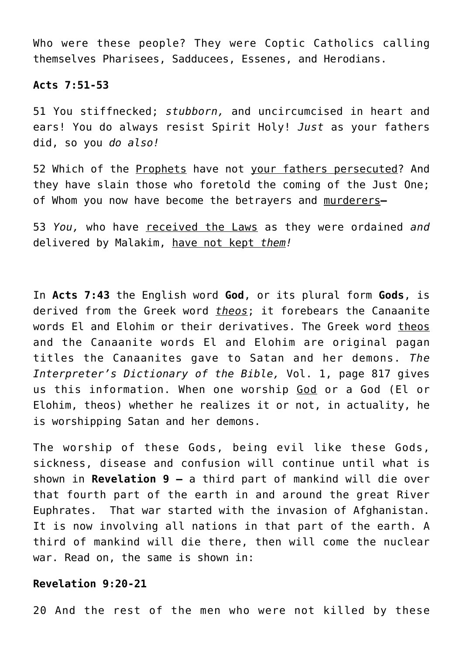Who were these people? They were Coptic Catholics calling themselves Pharisees, Sadducees, Essenes, and Herodians.

## **Acts 7:51-53**

51 You stiffnecked; *stubborn,* and uncircumcised in heart and ears! You do always resist Spirit Holy! *Just* as your fathers did, so you *do also!*

52 Which of the Prophets have not your fathers persecuted? And they have slain those who foretold the coming of the Just One; of Whom you now have become the betrayers and murderers**—**

53 *You,* who have received the Laws as they were ordained *and* delivered by Malakim, have not kept *them!*

In **Acts 7:43** the English word **God**, or its plural form **Gods**, is derived from the Greek word *theos*; it forebears the Canaanite words El and Elohim or their derivatives. The Greek word theos and the Canaanite words El and Elohim are original pagan titles the Canaanites gave to Satan and her demons. *The Interpreter's Dictionary of the Bible,* Vol. 1, page 817 gives us this information. When one worship God or a God (El or Elohim, theos) whether he realizes it or not, in actuality, he is worshipping Satan and her demons.

The worship of these Gods, being evil like these Gods, sickness, disease and confusion will continue until what is shown in **Revelation 9 –** a third part of mankind will die over that fourth part of the earth in and around the great River Euphrates. That war started with the invasion of Afghanistan. It is now involving all nations in that part of the earth. A third of mankind will die there, then will come the nuclear war. Read on, the same is shown in:

# **Revelation 9:20-21**

20 And the rest of the men who were not killed by these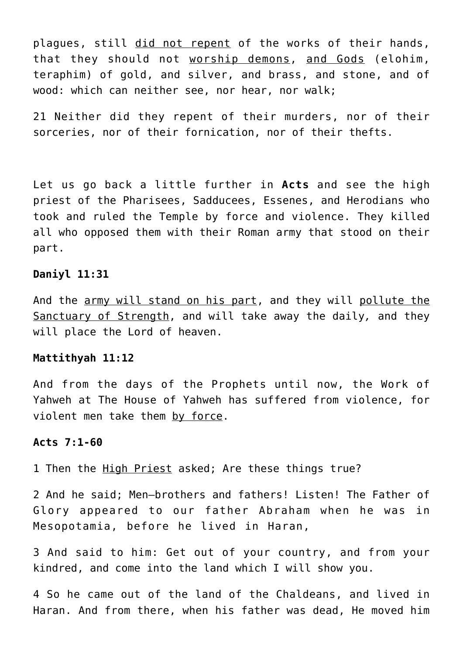plagues, still did not repent of the works of their hands, that they should not worship demons, and Gods (elohim, teraphim) of gold, and silver, and brass, and stone, and of wood: which can neither see, nor hear, nor walk;

21 Neither did they repent of their murders, nor of their sorceries, nor of their fornication, nor of their thefts.

Let us go back a little further in **Acts** and see the high priest of the Pharisees, Sadducees, Essenes, and Herodians who took and ruled the Temple by force and violence. They killed all who opposed them with their Roman army that stood on their part.

# **Daniyl 11:31**

And the army will stand on his part, and they will pollute the Sanctuary of Strength, and will take away the daily*,* and they will place the Lord of heaven.

## **Mattithyah 11:12**

And from the days of the Prophets until now, the Work of Yahweh at The House of Yahweh has suffered from violence, for violent men take them by force.

## **Acts 7:1-60**

1 Then the High Priest asked; Are these things true?

2 And he said; Men—brothers and fathers! Listen! The Father of Glory appeared to our father Abraham when he was in Mesopotamia, before he lived in Haran,

3 And said to him: Get out of your country, and from your kindred, and come into the land which I will show you.

4 So he came out of the land of the Chaldeans, and lived in Haran. And from there, when his father was dead, He moved him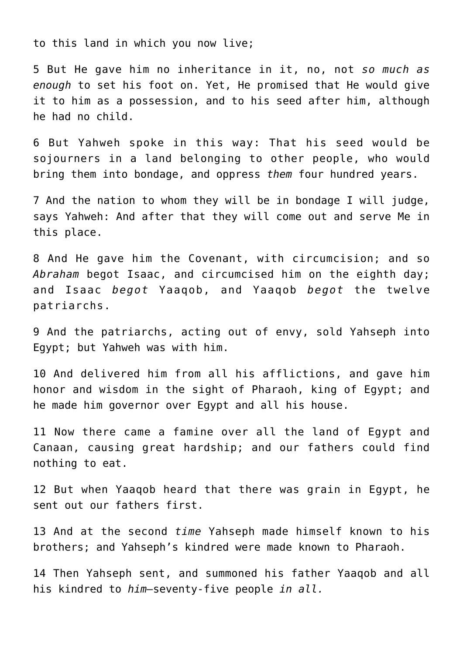to this land in which you now live;

5 But He gave him no inheritance in it, no, not *so much as enough* to set his foot on. Yet, He promised that He would give it to him as a possession, and to his seed after him, although he had no child.

6 But Yahweh spoke in this way: That his seed would be sojourners in a land belonging to other people, who would bring them into bondage, and oppress *them* four hundred years.

7 And the nation to whom they will be in bondage I will judge, says Yahweh: And after that they will come out and serve Me in this place.

8 And He gave him the Covenant, with circumcision; and so *Abraham* begot Isaac, and circumcised him on the eighth day; and Isaac *begot* Yaaqob, and Yaaqob *begot* the twelve patriarchs.

9 And the patriarchs, acting out of envy, sold Yahseph into Egypt; but Yahweh was with him.

10 And delivered him from all his afflictions, and gave him honor and wisdom in the sight of Pharaoh, king of Egypt; and he made him governor over Egypt and all his house.

11 Now there came a famine over all the land of Egypt and Canaan, causing great hardship; and our fathers could find nothing to eat.

12 But when Yaaqob heard that there was grain in Egypt, he sent out our fathers first.

13 And at the second *time* Yahseph made himself known to his brothers; and Yahseph's kindred were made known to Pharaoh.

14 Then Yahseph sent, and summoned his father Yaaqob and all his kindred to *him—*seventy-five people *in all.*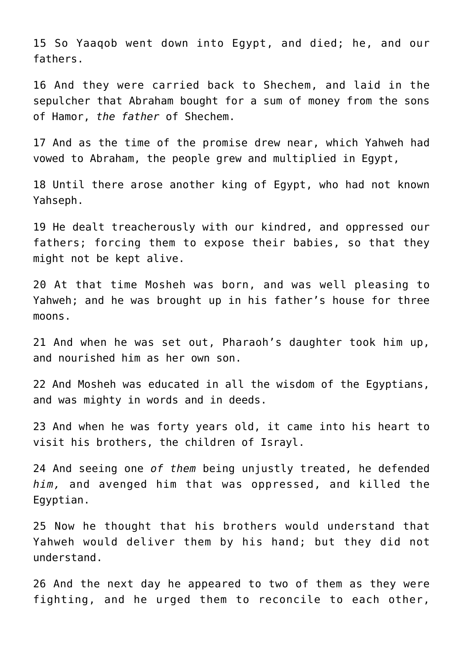15 So Yaaqob went down into Egypt, and died; he, and our fathers.

16 And they were carried back to Shechem, and laid in the sepulcher that Abraham bought for a sum of money from the sons of Hamor, *the father* of Shechem.

17 And as the time of the promise drew near, which Yahweh had vowed to Abraham, the people grew and multiplied in Egypt,

18 Until there arose another king of Egypt, who had not known Yahseph.

19 He dealt treacherously with our kindred, and oppressed our fathers; forcing them to expose their babies, so that they might not be kept alive.

20 At that time Mosheh was born, and was well pleasing to Yahweh; and he was brought up in his father's house for three moons.

21 And when he was set out, Pharaoh's daughter took him up, and nourished him as her own son.

22 And Mosheh was educated in all the wisdom of the Egyptians, and was mighty in words and in deeds.

23 And when he was forty years old, it came into his heart to visit his brothers, the children of Israyl.

24 And seeing one *of them* being unjustly treated, he defended *him,* and avenged him that was oppressed, and killed the Egyptian.

25 Now he thought that his brothers would understand that Yahweh would deliver them by his hand; but they did not understand.

26 And the next day he appeared to two of them as they were fighting, and he urged them to reconcile to each other,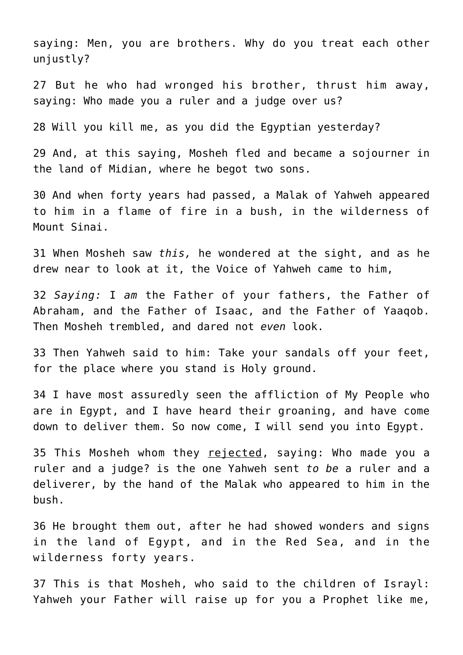saying: Men, you are brothers. Why do you treat each other unjustly?

27 But he who had wronged his brother, thrust him away, saying: Who made you a ruler and a judge over us?

28 Will you kill me, as you did the Egyptian yesterday?

29 And, at this saying, Mosheh fled and became a sojourner in the land of Midian, where he begot two sons.

30 And when forty years had passed, a Malak of Yahweh appeared to him in a flame of fire in a bush, in the wilderness of Mount Sinai.

31 When Mosheh saw *this,* he wondered at the sight, and as he drew near to look at it, the Voice of Yahweh came to him,

32 *Saying:* I *am* the Father of your fathers, the Father of Abraham, and the Father of Isaac, and the Father of Yaaqob. Then Mosheh trembled, and dared not *even* look.

33 Then Yahweh said to him: Take your sandals off your feet, for the place where you stand is Holy ground.

34 I have most assuredly seen the affliction of My People who are in Egypt, and I have heard their groaning, and have come down to deliver them. So now come, I will send you into Egypt.

35 This Mosheh whom they rejected, saying: Who made you a ruler and a judge? is the one Yahweh sent *to be* a ruler and a deliverer, by the hand of the Malak who appeared to him in the bush.

36 He brought them out, after he had showed wonders and signs in the land of Egypt, and in the Red Sea, and in the wilderness forty years.

37 This is that Mosheh, who said to the children of Israyl: Yahweh your Father will raise up for you a Prophet like me,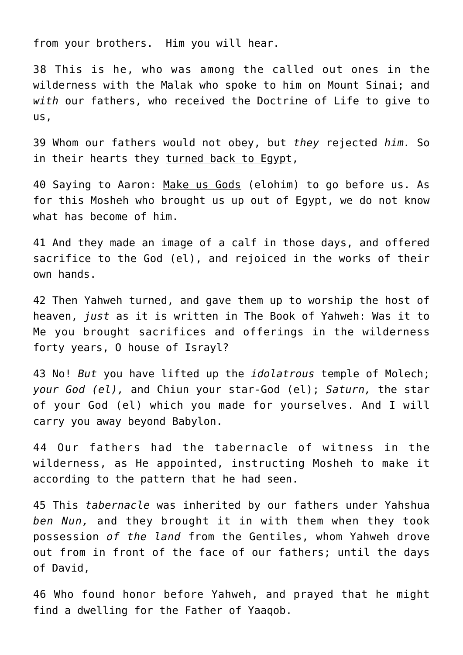from your brothers. Him you will hear.

38 This is he, who was among the called out ones in the wilderness with the Malak who spoke to him on Mount Sinai; and *with* our fathers, who received the Doctrine of Life to give to us,

39 Whom our fathers would not obey, but *they* rejected *him.* So in their hearts they turned back to Egypt,

40 Saying to Aaron: Make us Gods (elohim) to go before us. As for this Mosheh who brought us up out of Egypt, we do not know what has become of him.

41 And they made an image of a calf in those days, and offered sacrifice to the God (el), and rejoiced in the works of their own hands.

42 Then Yahweh turned, and gave them up to worship the host of heaven, *just* as it is written in The Book of Yahweh: Was it to Me you brought sacrifices and offerings in the wilderness forty years, O house of Israyl?

43 No! *But* you have lifted up the *idolatrous* temple of Molech; *your God (el),* and Chiun your star-God (el); *Saturn,* the star of your God (el) which you made for yourselves. And I will carry you away beyond Babylon.

44 Our fathers had the tabernacle of witness in the wilderness, as He appointed, instructing Mosheh to make it according to the pattern that he had seen.

45 This *tabernacle* was inherited by our fathers under Yahshua *ben Nun,* and they brought it in with them when they took possession *of the land* from the Gentiles, whom Yahweh drove out from in front of the face of our fathers; until the days of David,

46 Who found honor before Yahweh, and prayed that he might find a dwelling for the Father of Yaaqob.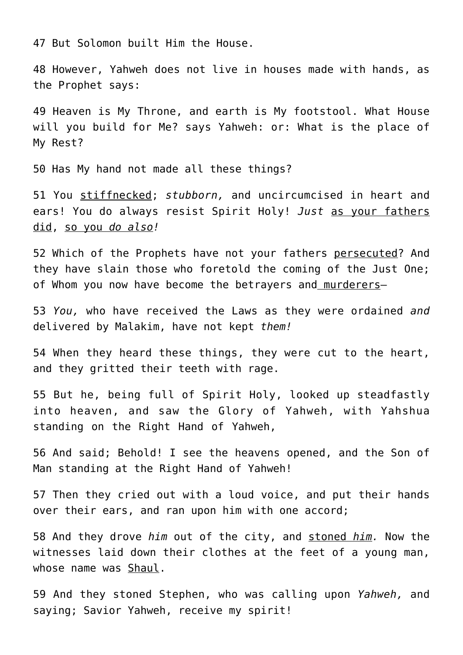47 But Solomon built Him the House.

48 However, Yahweh does not live in houses made with hands, as the Prophet says:

49 Heaven is My Throne, and earth is My footstool. What House will you build for Me? says Yahweh: or: What is the place of My Rest?

50 Has My hand not made all these things?

51 You stiffnecked; *stubborn,* and uncircumcised in heart and ears! You do always resist Spirit Holy! *Just* as your fathers did, so you *do also!*

52 Which of the Prophets have not your fathers persecuted? And they have slain those who foretold the coming of the Just One; of Whom you now have become the betrayers and murderers—

53 *You,* who have received the Laws as they were ordained *and* delivered by Malakim, have not kept *them!*

54 When they heard these things, they were cut to the heart, and they gritted their teeth with rage.

55 But he, being full of Spirit Holy, looked up steadfastly into heaven, and saw the Glory of Yahweh, with Yahshua standing on the Right Hand of Yahweh,

56 And said; Behold! I see the heavens opened, and the Son of Man standing at the Right Hand of Yahweh!

57 Then they cried out with a loud voice, and put their hands over their ears, and ran upon him with one accord;

58 And they drove *him* out of the city, and stoned *him.* Now the witnesses laid down their clothes at the feet of a young man, whose name was Shaul.

59 And they stoned Stephen, who was calling upon *Yahweh,* and saying; Savior Yahweh, receive my spirit!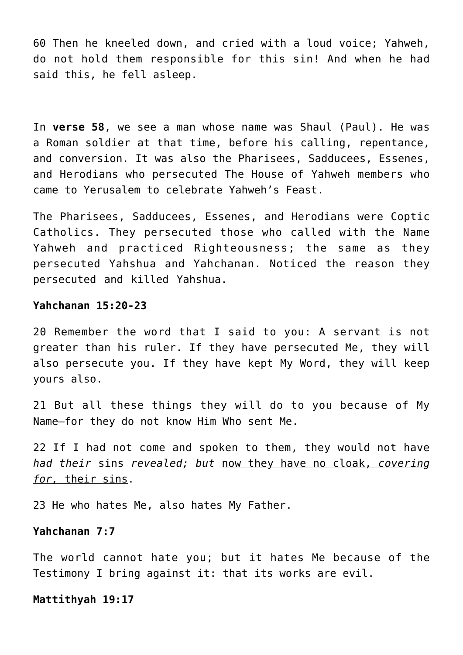60 Then he kneeled down, and cried with a loud voice; Yahweh, do not hold them responsible for this sin! And when he had said this, he fell asleep.

In **verse 58**, we see a man whose name was Shaul (Paul). He was a Roman soldier at that time, before his calling, repentance, and conversion. It was also the Pharisees, Sadducees, Essenes, and Herodians who persecuted The House of Yahweh members who came to Yerusalem to celebrate Yahweh's Feast.

The Pharisees, Sadducees, Essenes, and Herodians were Coptic Catholics. They persecuted those who called with the Name Yahweh and practiced Righteousness; the same as they persecuted Yahshua and Yahchanan. Noticed the reason they persecuted and killed Yahshua.

# **Yahchanan 15:20-23**

20 Remember the word that I said to you: A servant is not greater than his ruler. If they have persecuted Me, they will also persecute you. If they have kept My Word, they will keep yours also.

21 But all these things they will do to you because of My Name—for they do not know Him Who sent Me.

22 If I had not come and spoken to them, they would not have *had their* sins *revealed; but* now they have no cloak, *covering for,* their sins.

23 He who hates Me, also hates My Father.

# **Yahchanan 7:7**

The world cannot hate you; but it hates Me because of the Testimony I bring against it: that its works are evil.

**Mattithyah 19:17**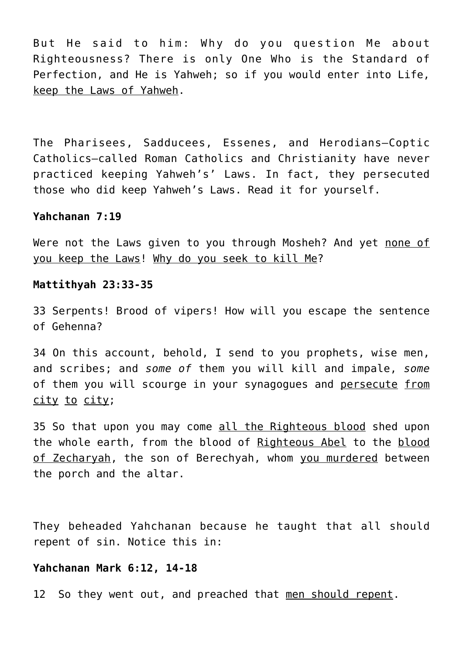But He said to him: Why do you question Me about Righteousness? There is only One Who is the Standard of Perfection, and He is Yahweh; so if you would enter into Life, keep the Laws of Yahweh.

The Pharisees, Sadducees, Essenes, and Herodians–Coptic Catholics–called Roman Catholics and Christianity have never practiced keeping Yahweh's' Laws. In fact, they persecuted those who did keep Yahweh's Laws. Read it for yourself.

# **Yahchanan 7:19**

Were not the Laws given to you through Mosheh? And yet none of you keep the Laws! Why do you seek to kill Me?

## **Mattithyah 23:33-35**

33 Serpents! Brood of vipers! How will you escape the sentence of Gehenna?

34 On this account, behold, I send to you prophets, wise men, and scribes; and *some of* them you will kill and impale, *some* of them you will scourge in your synagogues and persecute from city to city;

35 So that upon you may come all the Righteous blood shed upon the whole earth, from the blood of Righteous Abel to the blood of Zecharyah, the son of Berechyah, whom you murdered between the porch and the altar.

They beheaded Yahchanan because he taught that all should repent of sin. Notice this in:

#### **Yahchanan Mark 6:12, 14-18**

12 So they went out, and preached that men should repent.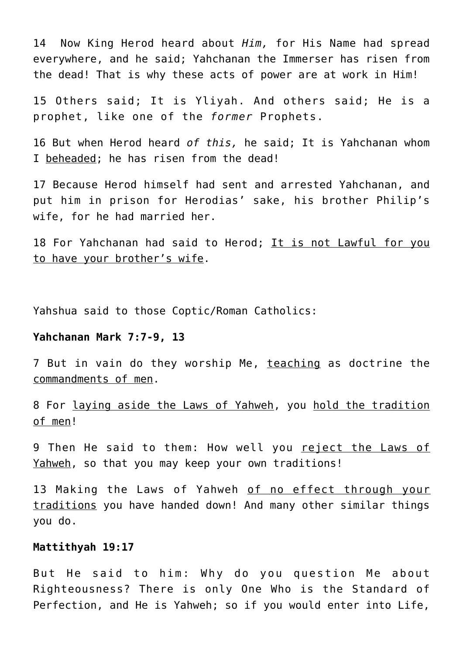14 Now King Herod heard about *Him,* for His Name had spread everywhere, and he said; Yahchanan the Immerser has risen from the dead! That is why these acts of power are at work in Him!

15 Others said; It is Yliyah. And others said; He is a prophet, like one of the *former* Prophets.

16 But when Herod heard *of this,* he said; It is Yahchanan whom I beheaded; he has risen from the dead!

17 Because Herod himself had sent and arrested Yahchanan, and put him in prison for Herodias' sake, his brother Philip's wife, for he had married her.

18 For Yahchanan had said to Herod; It is not Lawful for you to have your brother's wife.

Yahshua said to those Coptic/Roman Catholics:

## **Yahchanan Mark 7:7-9, 13**

7 But in vain do they worship Me, teaching as doctrine the commandments of men.

8 For laying aside the Laws of Yahweh, you hold the tradition of men!

9 Then He said to them: How well you reject the Laws of Yahweh, so that you may keep your own traditions!

13 Making the Laws of Yahweh of no effect through your traditions you have handed down! And many other similar things you do.

## **Mattithyah 19:17**

But He said to him: Why do you question Me about Righteousness? There is only One Who is the Standard of Perfection, and He is Yahweh; so if you would enter into Life,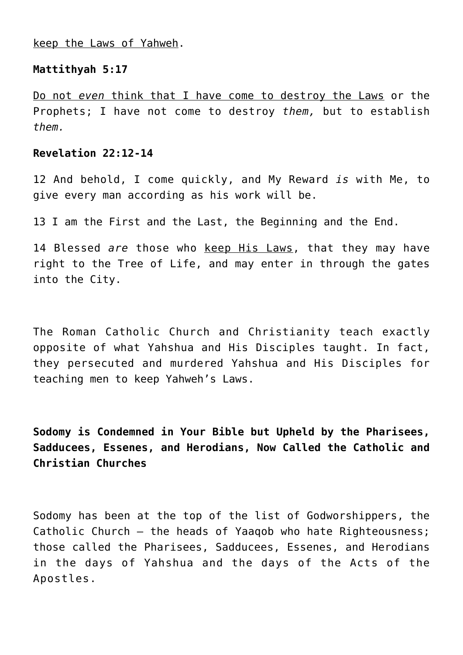keep the Laws of Yahweh.

# **Mattithyah 5:17**

Do not *even* think that I have come to destroy the Laws or the Prophets; I have not come to destroy *them,* but to establish *them.*

# **Revelation 22:12-14**

12 And behold, I come quickly, and My Reward *is* with Me, to give every man according as his work will be.

13 I am the First and the Last, the Beginning and the End.

14 Blessed *are* those who keep His Laws, that they may have right to the Tree of Life, and may enter in through the gates into the City.

The Roman Catholic Church and Christianity teach exactly opposite of what Yahshua and His Disciples taught. In fact, they persecuted and murdered Yahshua and His Disciples for teaching men to keep Yahweh's Laws.

**Sodomy is Condemned in Your Bible but Upheld by the Pharisees, Sadducees, Essenes, and Herodians, Now Called the Catholic and Christian Churches**

Sodomy has been at the top of the list of Godworshippers, the Catholic Church – the heads of Yaaqob who hate Righteousness; those called the Pharisees, Sadducees, Essenes, and Herodians in the days of Yahshua and the days of the Acts of the Apostles.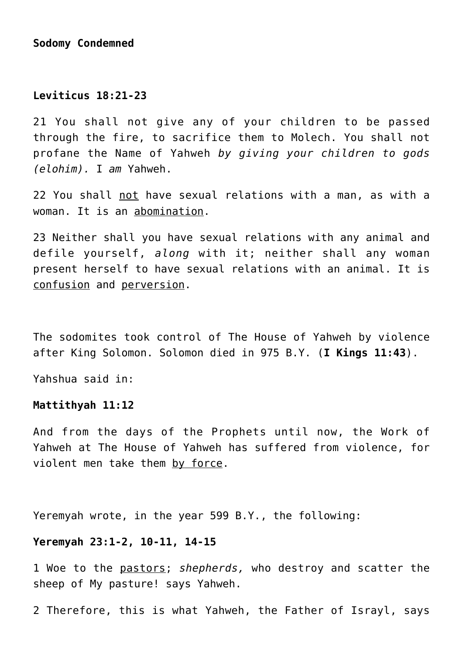# **Sodomy Condemned**

# **Leviticus 18:21-23**

21 You shall not give any of your children to be passed through the fire, to sacrifice them to Molech. You shall not profane the Name of Yahweh *by giving your children to gods (elohim).* I *am* Yahweh.

22 You shall not have sexual relations with a man, as with a woman. It is an abomination.

23 Neither shall you have sexual relations with any animal and defile yourself, *along* with it; neither shall any woman present herself to have sexual relations with an animal. It is confusion and perversion.

The sodomites took control of The House of Yahweh by violence after King Solomon. Solomon died in 975 B.Y. (**I Kings 11:43**).

Yahshua said in:

# **Mattithyah 11:12**

And from the days of the Prophets until now, the Work of Yahweh at The House of Yahweh has suffered from violence, for violent men take them by force.

Yeremyah wrote, in the year 599 B.Y., the following:

## **Yeremyah 23:1-2, 10-11, 14-15**

1 Woe to the pastors; *shepherds,* who destroy and scatter the sheep of My pasture! says Yahweh.

2 Therefore, this is what Yahweh, the Father of Israyl, says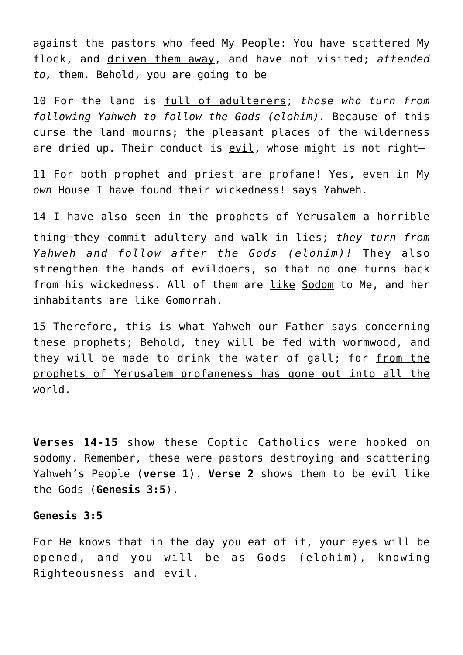against the pastors who feed My People: You have scattered My flock, and driven them away, and have not visited; *attended to,* them. Behold, you are going to be

10 For the land is full of adulterers; *those who turn from following Yahweh to follow the Gods (elohim).* Because of this curse the land mourns; the pleasant places of the wilderness are dried up. Their conduct is evil, whose might is not right-

11 For both prophet and priest are profane! Yes, even in My *own* House I have found their wickedness! says Yahweh.

14 I have also seen in the prophets of Yerusalem a horrible thing**\_\_**they commit adultery and walk in lies; *they turn from Yahweh and follow after the Gods (elohim)!* They also strengthen the hands of evildoers, so that no one turns back from his wickedness. All of them are like Sodom to Me, and her inhabitants are like Gomorrah.

15 Therefore, this is what Yahweh our Father says concerning these prophets; Behold, they will be fed with wormwood, and they will be made to drink the water of gall; for from the prophets of Yerusalem profaneness has gone out into all the world.

**Verses 14-15** show these Coptic Catholics were hooked on sodomy. Remember, these were pastors destroying and scattering Yahweh's People (**verse 1**). **Verse 2** shows them to be evil like the Gods (**Genesis 3:5**).

## **Genesis 3:5**

For He knows that in the day you eat of it, your eyes will be opened, and you will be as Gods (elohim), knowing Righteousness and evil.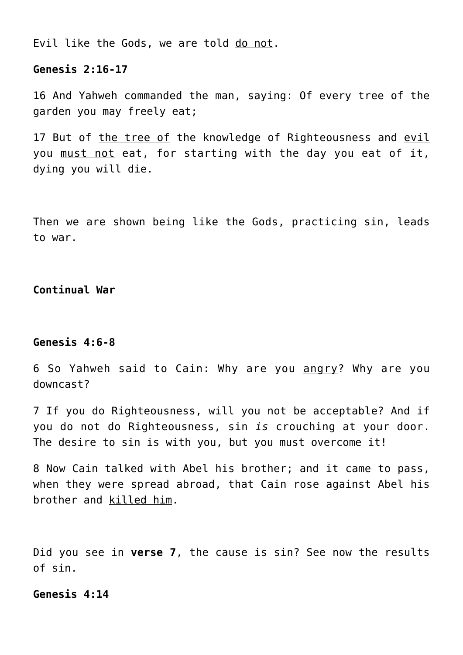Evil like the Gods, we are told do not.

## **Genesis 2:16-17**

16 And Yahweh commanded the man, saying: Of every tree of the garden you may freely eat;

17 But of the tree of the knowledge of Righteousness and evil you must not eat, for starting with the day you eat of it, dying you will die.

Then we are shown being like the Gods, practicing sin, leads to war.

# **Continual War**

## **Genesis 4:6-8**

6 So Yahweh said to Cain: Why are you angry? Why are you downcast?

7 If you do Righteousness, will you not be acceptable? And if you do not do Righteousness, sin *is* crouching at your door. The desire to sin is with you, but you must overcome it!

8 Now Cain talked with Abel his brother; and it came to pass, when they were spread abroad, that Cain rose against Abel his brother and killed him.

Did you see in **verse 7**, the cause is sin? See now the results of sin.

# **Genesis 4:14**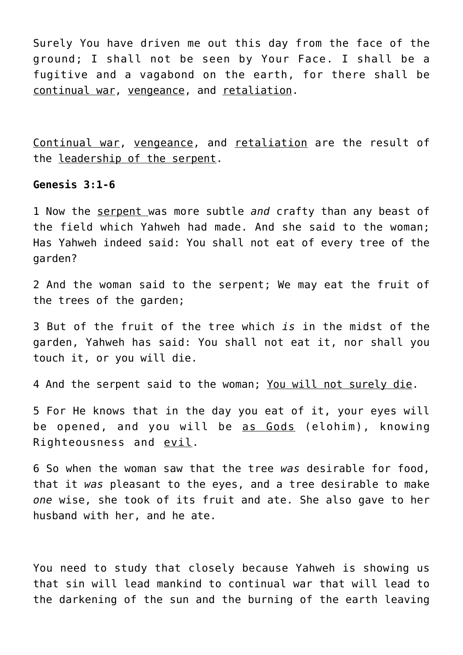Surely You have driven me out this day from the face of the ground; I shall not be seen by Your Face. I shall be a fugitive and a vagabond on the earth, for there shall be continual war, vengeance, and retaliation.

Continual war, vengeance, and retaliation are the result of the leadership of the serpent.

# **Genesis 3:1-6**

1 Now the serpent was more subtle *and* crafty than any beast of the field which Yahweh had made. And she said to the woman; Has Yahweh indeed said: You shall not eat of every tree of the garden?

2 And the woman said to the serpent; We may eat the fruit of the trees of the garden;

3 But of the fruit of the tree which *is* in the midst of the garden, Yahweh has said: You shall not eat it, nor shall you touch it, or you will die.

4 And the serpent said to the woman; You will not surely die.

5 For He knows that in the day you eat of it, your eyes will be opened, and you will be as Gods (elohim), knowing Righteousness and evil.

6 So when the woman saw that the tree *was* desirable for food, that it *was* pleasant to the eyes, and a tree desirable to make *one* wise, she took of its fruit and ate. She also gave to her husband with her, and he ate.

You need to study that closely because Yahweh is showing us that sin will lead mankind to continual war that will lead to the darkening of the sun and the burning of the earth leaving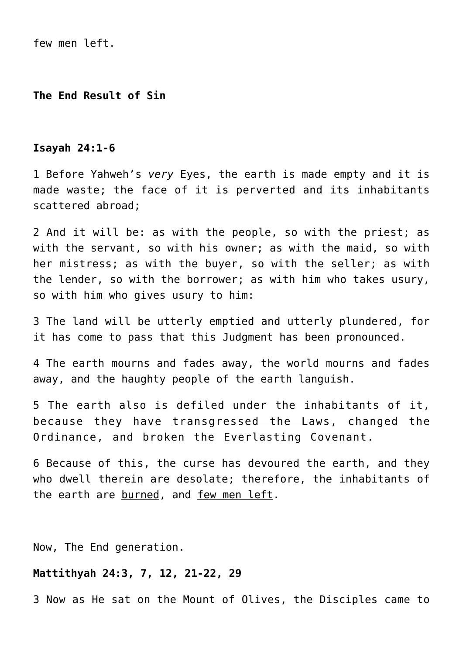few men left.

**The End Result of Sin**

#### **Isayah 24:1-6**

1 Before Yahweh's *very* Eyes, the earth is made empty and it is made waste; the face of it is perverted and its inhabitants scattered abroad;

2 And it will be: as with the people, so with the priest; as with the servant, so with his owner; as with the maid, so with her mistress; as with the buyer, so with the seller; as with the lender, so with the borrower; as with him who takes usury, so with him who gives usury to him:

3 The land will be utterly emptied and utterly plundered, for it has come to pass that this Judgment has been pronounced.

4 The earth mourns and fades away, the world mourns and fades away, and the haughty people of the earth languish.

5 The earth also is defiled under the inhabitants of it, because they have transgressed the Laws, changed the Ordinance, and broken the Everlasting Covenant.

6 Because of this, the curse has devoured the earth, and they who dwell therein are desolate; therefore, the inhabitants of the earth are burned, and few men left.

Now, The End generation.

## **Mattithyah 24:3, 7, 12, 21-22, 29**

3 Now as He sat on the Mount of Olives, the Disciples came to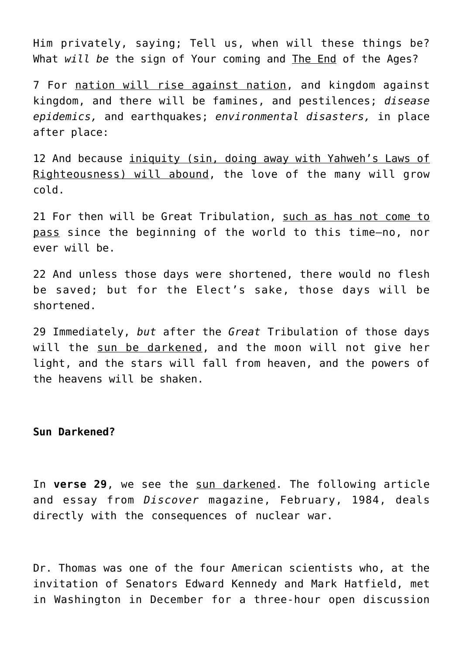Him privately, saying; Tell us, when will these things be? What *will be* the sign of Your coming and The End of the Ages?

7 For nation will rise against nation, and kingdom against kingdom, and there will be famines, and pestilences; *disease epidemics,* and earthquakes; *environmental disasters,* in place after place:

12 And because iniquity (sin, doing away with Yahweh's Laws of Righteousness) will abound, the love of the many will grow cold.

21 For then will be Great Tribulation, such as has not come to pass since the beginning of the world to this time—no, nor ever will be.

22 And unless those days were shortened, there would no flesh be saved; but for the Elect's sake, those days will be shortened.

29 Immediately, *but* after the *Great* Tribulation of those days will the sun be darkened, and the moon will not give her light, and the stars will fall from heaven, and the powers of the heavens will be shaken.

**Sun Darkened?**

In **verse 29**, we see the sun darkened. The following article and essay from *Discover* magazine, February, 1984, deals directly with the consequences of nuclear war.

Dr. Thomas was one of the four American scientists who, at the invitation of Senators Edward Kennedy and Mark Hatfield, met in Washington in December for a three-hour open discussion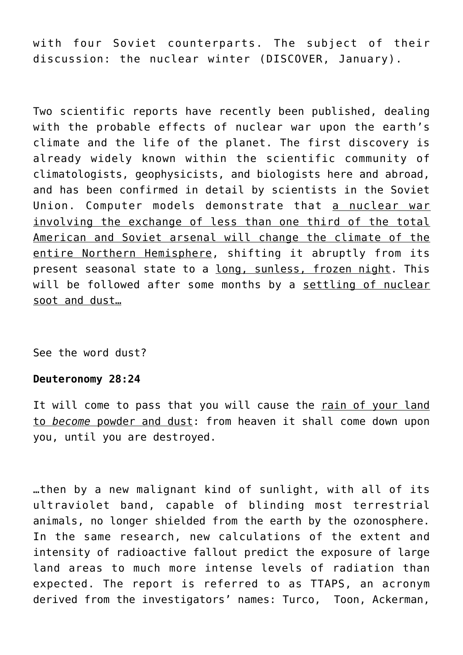with four Soviet counterparts. The subject of their discussion: the nuclear winter (DISCOVER, January).

Two scientific reports have recently been published, dealing with the probable effects of nuclear war upon the earth's climate and the life of the planet. The first discovery is already widely known within the scientific community of climatologists, geophysicists, and biologists here and abroad, and has been confirmed in detail by scientists in the Soviet Union. Computer models demonstrate that a nuclear war involving the exchange of less than one third of the total American and Soviet arsenal will change the climate of the entire Northern Hemisphere, shifting it abruptly from its present seasonal state to a long, sunless, frozen night. This will be followed after some months by a settling of nuclear soot and dust…

See the word dust?

## **Deuteronomy 28:24**

It will come to pass that you will cause the rain of your land to *become* powder and dust: from heaven it shall come down upon you, until you are destroyed.

…then by a new malignant kind of sunlight, with all of its ultraviolet band, capable of blinding most terrestrial animals, no longer shielded from the earth by the ozonosphere. In the same research, new calculations of the extent and intensity of radioactive fallout predict the exposure of large land areas to much more intense levels of radiation than expected. The report is referred to as TTAPS, an acronym derived from the investigators' names: Turco, Toon, Ackerman,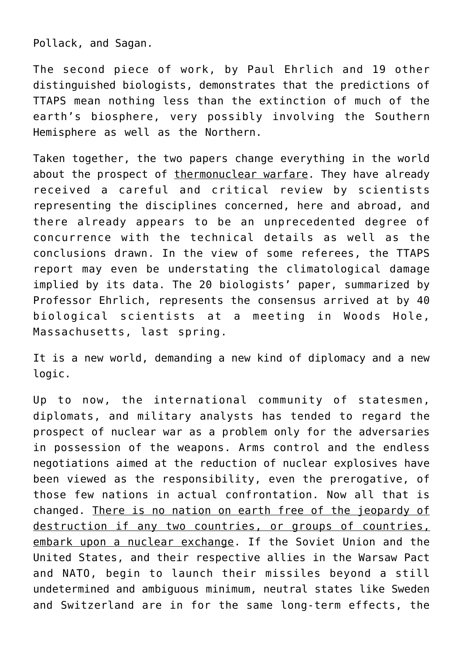Pollack, and Sagan.

The second piece of work, by Paul Ehrlich and 19 other distinguished biologists, demonstrates that the predictions of TTAPS mean nothing less than the extinction of much of the earth's biosphere, very possibly involving the Southern Hemisphere as well as the Northern.

Taken together, the two papers change everything in the world about the prospect of thermonuclear warfare. They have already received a careful and critical review by scientists representing the disciplines concerned, here and abroad, and there already appears to be an unprecedented degree of concurrence with the technical details as well as the conclusions drawn. In the view of some referees, the TTAPS report may even be understating the climatological damage implied by its data. The 20 biologists' paper, summarized by Professor Ehrlich, represents the consensus arrived at by 40 biological scientists at a meeting in Woods Hole, Massachusetts, last spring.

It is a new world, demanding a new kind of diplomacy and a new logic.

Up to now, the international community of statesmen, diplomats, and military analysts has tended to regard the prospect of nuclear war as a problem only for the adversaries in possession of the weapons. Arms control and the endless negotiations aimed at the reduction of nuclear explosives have been viewed as the responsibility, even the prerogative, of those few nations in actual confrontation. Now all that is changed. There is no nation on earth free of the jeopardy of destruction if any two countries, or groups of countries, embark upon a nuclear exchange. If the Soviet Union and the United States, and their respective allies in the Warsaw Pact and NATO, begin to launch their missiles beyond a still undetermined and ambiguous minimum, neutral states like Sweden and Switzerland are in for the same long-term effects, the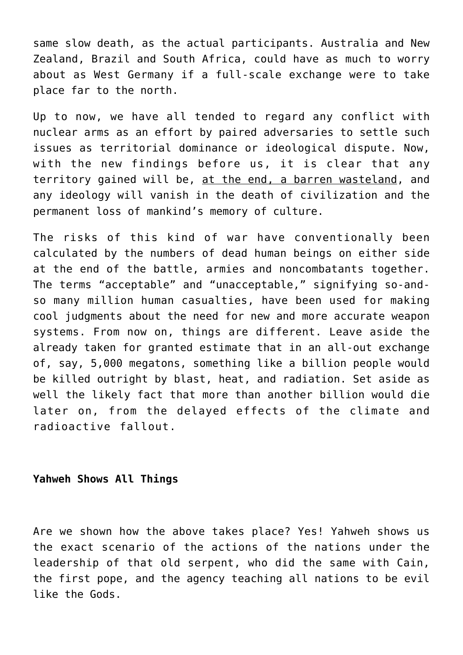same slow death, as the actual participants. Australia and New Zealand, Brazil and South Africa, could have as much to worry about as West Germany if a full-scale exchange were to take place far to the north.

Up to now, we have all tended to regard any conflict with nuclear arms as an effort by paired adversaries to settle such issues as territorial dominance or ideological dispute. Now, with the new findings before us, it is clear that any territory gained will be, at the end, a barren wasteland, and any ideology will vanish in the death of civilization and the permanent loss of mankind's memory of culture.

The risks of this kind of war have conventionally been calculated by the numbers of dead human beings on either side at the end of the battle, armies and noncombatants together. The terms "acceptable" and "unacceptable," signifying so-andso many million human casualties, have been used for making cool judgments about the need for new and more accurate weapon systems. From now on, things are different. Leave aside the already taken for granted estimate that in an all-out exchange of, say, 5,000 megatons, something like a billion people would be killed outright by blast, heat, and radiation. Set aside as well the likely fact that more than another billion would die later on, from the delayed effects of the climate and radioactive fallout.

# **Yahweh Shows All Things**

Are we shown how the above takes place? Yes! Yahweh shows us the exact scenario of the actions of the nations under the leadership of that old serpent, who did the same with Cain, the first pope, and the agency teaching all nations to be evil like the Gods.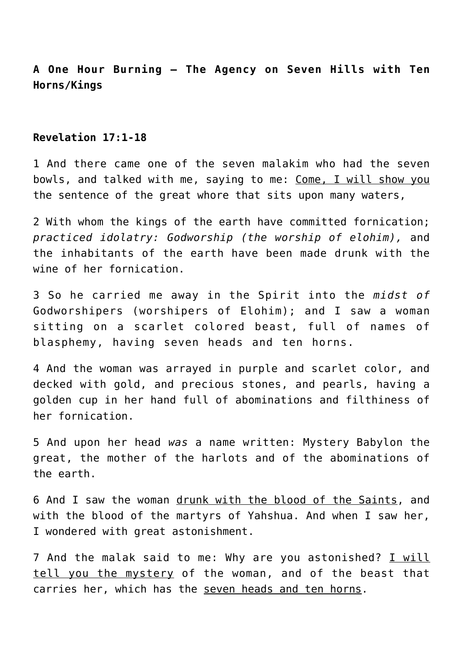# **A One Hour Burning — The Agency on Seven Hills with Ten Horns/Kings**

# **Revelation 17:1-18**

1 And there came one of the seven malakim who had the seven bowls, and talked with me, saying to me: Come, I will show you the sentence of the great whore that sits upon many waters,

2 With whom the kings of the earth have committed fornication; *practiced idolatry: Godworship (the worship of elohim),* and the inhabitants of the earth have been made drunk with the wine of her fornication.

3 So he carried me away in the Spirit into the *midst of* Godworshipers (worshipers of Elohim); and I saw a woman sitting on a scarlet colored beast, full of names of blasphemy, having seven heads and ten horns.

4 And the woman was arrayed in purple and scarlet color, and decked with gold, and precious stones, and pearls, having a golden cup in her hand full of abominations and filthiness of her fornication.

5 And upon her head *was* a name written: Mystery Babylon the great, the mother of the harlots and of the abominations of the earth.

6 And I saw the woman drunk with the blood of the Saints, and with the blood of the martyrs of Yahshua. And when I saw her, I wondered with great astonishment.

7 And the malak said to me: Why are you astonished? I will tell you the mystery of the woman, and of the beast that carries her, which has the seven heads and ten horns.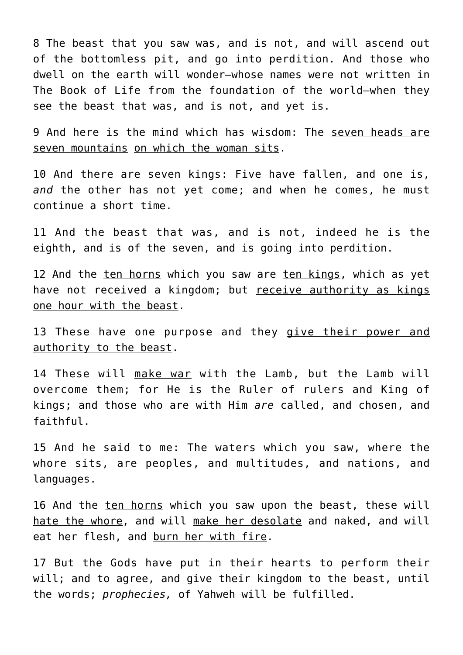8 The beast that you saw was, and is not, and will ascend out of the bottomless pit, and go into perdition. And those who dwell on the earth will wonder—whose names were not written in The Book of Life from the foundation of the world—when they see the beast that was, and is not, and yet is.

9 And here is the mind which has wisdom: The seven heads are seven mountains on which the woman sits.

10 And there are seven kings: Five have fallen, and one is, *and* the other has not yet come; and when he comes, he must continue a short time.

11 And the beast that was, and is not, indeed he is the eighth, and is of the seven, and is going into perdition.

12 And the ten horns which you saw are ten kings, which as yet have not received a kingdom; but receive authority as kings one hour with the beast.

13 These have one purpose and they give their power and authority to the beast.

14 These will make war with the Lamb, but the Lamb will overcome them; for He is the Ruler of rulers and King of kings; and those who are with Him *are* called, and chosen, and faithful.

15 And he said to me: The waters which you saw, where the whore sits, are peoples, and multitudes, and nations, and languages.

16 And the ten horns which you saw upon the beast, these will hate the whore, and will make her desolate and naked, and will eat her flesh, and burn her with fire.

17 But the Gods have put in their hearts to perform their will; and to agree, and give their kingdom to the beast, until the words; *prophecies,* of Yahweh will be fulfilled.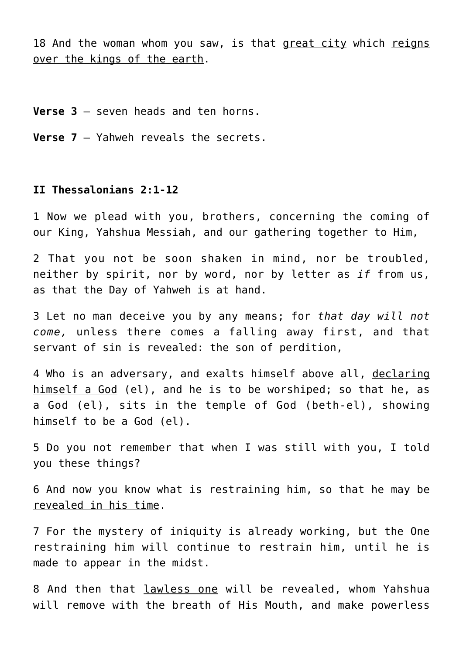18 And the woman whom you saw, is that great city which reigns over the kings of the earth.

**Verse 3** – seven heads and ten horns.

**Verse 7** – Yahweh reveals the secrets.

## **II Thessalonians 2:1-12**

1 Now we plead with you, brothers, concerning the coming of our King, Yahshua Messiah, and our gathering together to Him,

2 That you not be soon shaken in mind, nor be troubled, neither by spirit, nor by word, nor by letter as *if* from us, as that the Day of Yahweh is at hand.

3 Let no man deceive you by any means; for *that day will not come,* unless there comes a falling away first, and that servant of sin is revealed: the son of perdition,

4 Who is an adversary, and exalts himself above all, declaring himself a God (el), and he is to be worshiped; so that he, as a God (el), sits in the temple of God (beth-el), showing himself to be a God (el).

5 Do you not remember that when I was still with you, I told you these things?

6 And now you know what is restraining him, so that he may be revealed in his time.

7 For the mystery of iniquity is already working, but the One restraining him will continue to restrain him, until he is made to appear in the midst.

8 And then that lawless one will be revealed, whom Yahshua will remove with the breath of His Mouth, and make powerless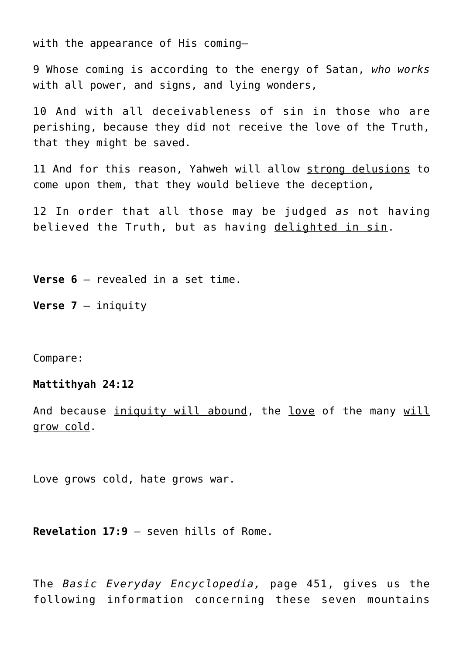with the appearance of His coming—

9 Whose coming is according to the energy of Satan, *who works* with all power, and signs, and lying wonders,

10 And with all deceivableness of sin in those who are perishing, because they did not receive the love of the Truth, that they might be saved.

11 And for this reason, Yahweh will allow strong delusions to come upon them, that they would believe the deception,

12 In order that all those may be judged *as* not having believed the Truth, but as having delighted in sin.

**Verse 6** – revealed in a set time.

**Verse 7** – iniquity

Compare:

**Mattithyah 24:12**

And because iniquity will abound, the love of the many will grow cold.

Love grows cold, hate grows war.

**Revelation 17:9** – seven hills of Rome.

The *Basic Everyday Encyclopedia,* page 451, gives us the following information concerning these seven mountains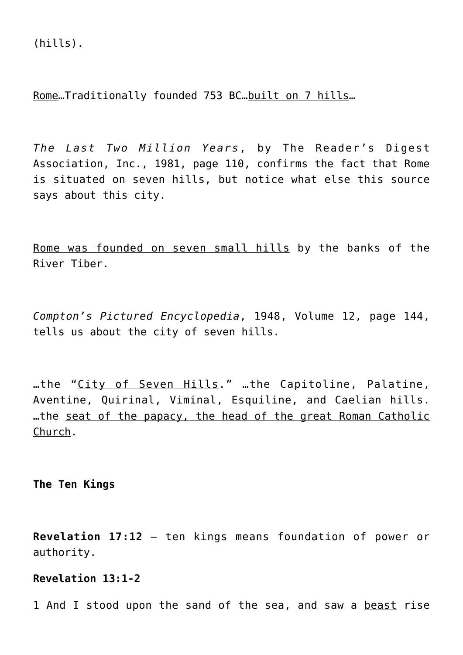(hills).

Rome…Traditionally founded 753 BC…built on 7 hills…

*The Last Two Million Years*, by The Reader's Digest Association, Inc., 1981, page 110, confirms the fact that Rome is situated on seven hills, but notice what else this source says about this city.

Rome was founded on seven small hills by the banks of the River Tiber.

*Compton's Pictured Encyclopedia*, 1948, Volume 12, page 144, tells us about the city of seven hills.

…the "City of Seven Hills." …the Capitoline, Palatine, Aventine, Quirinal, Viminal, Esquiline, and Caelian hills. …the seat of the papacy, the head of the great Roman Catholic Church.

**The Ten Kings**

**Revelation 17:12** – ten kings means foundation of power or authority.

**Revelation 13:1-2**

1 And I stood upon the sand of the sea, and saw a beast rise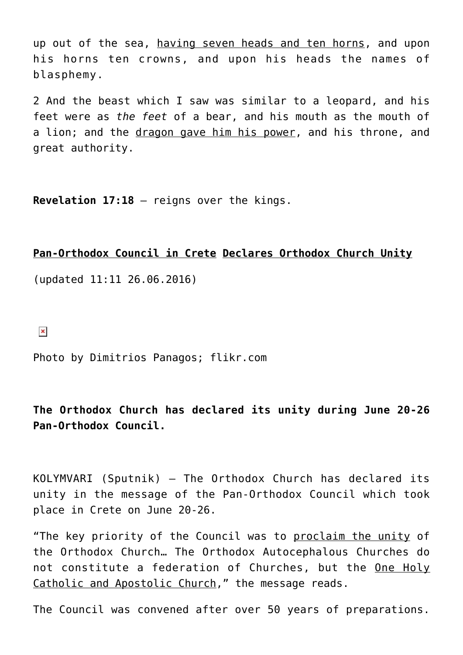up out of the sea, having seven heads and ten horns, and upon his horns ten crowns, and upon his heads the names of blasphemy.

2 And the beast which I saw was similar to a leopard, and his feet were as *the feet* of a bear, and his mouth as the mouth of a lion; and the dragon gave him his power, and his throne, and great authority.

**Revelation 17:18** – reigns over the kings.

## **Pan-Orthodox Council in Crete Declares Orthodox Church Unity**

(updated 11:11 26.06.2016)

 $\pmb{\times}$ 

Photo by Dimitrios Panagos; flikr.com

**The Orthodox Church has declared its unity during June 20-26 Pan-Orthodox Council.**

KOLYMVARI (Sputnik) — The Orthodox Church has declared its unity in the message of the Pan-Orthodox Council which took place in Crete on June 20-26.

"The key priority of the Council was to proclaim the unity of the Orthodox Church… The Orthodox Autocephalous Churches do not constitute a federation of Churches, but the One Holy Catholic and Apostolic Church," the message reads.

The Council was convened after over 50 years of preparations.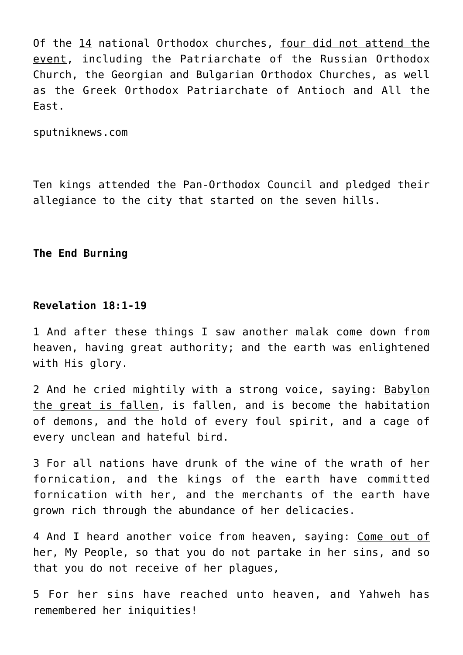Of the 14 national Orthodox churches, four did not attend the event, including the Patriarchate of the Russian Orthodox Church, the Georgian and Bulgarian Orthodox Churches, as well as the Greek Orthodox Patriarchate of Antioch and All the East.

sputniknews.com

Ten kings attended the Pan-Orthodox Council and pledged their allegiance to the city that started on the seven hills.

**The End Burning**

# **Revelation 18:1-19**

1 And after these things I saw another malak come down from heaven, having great authority; and the earth was enlightened with His glory.

2 And he cried mightily with a strong voice, saying: Babylon the great is fallen, is fallen, and is become the habitation of demons, and the hold of every foul spirit, and a cage of every unclean and hateful bird.

3 For all nations have drunk of the wine of the wrath of her fornication, and the kings of the earth have committed fornication with her, and the merchants of the earth have grown rich through the abundance of her delicacies.

4 And I heard another voice from heaven, saying: Come out of her, My People, so that you do not partake in her sins, and so that you do not receive of her plagues,

5 For her sins have reached unto heaven, and Yahweh has remembered her iniquities!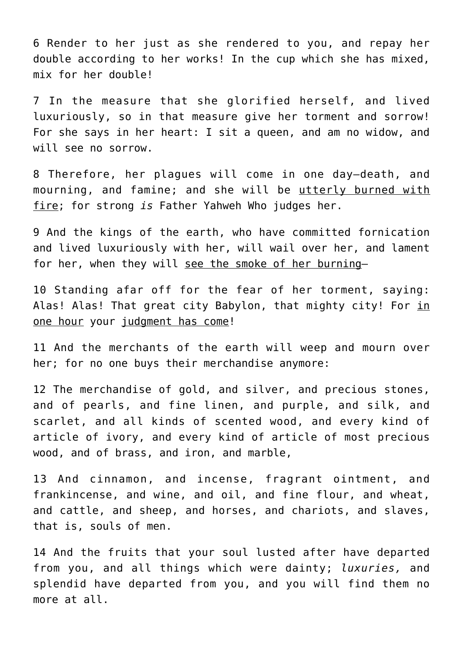6 Render to her just as she rendered to you, and repay her double according to her works! In the cup which she has mixed, mix for her double!

7 In the measure that she glorified herself, and lived luxuriously, so in that measure give her torment and sorrow! For she says in her heart: I sit a queen, and am no widow, and will see no sorrow.

8 Therefore, her plagues will come in one day—death, and mourning, and famine; and she will be utterly burned with fire; for strong *is* Father Yahweh Who judges her.

9 And the kings of the earth, who have committed fornication and lived luxuriously with her, will wail over her, and lament for her, when they will see the smoke of her burning—

10 Standing afar off for the fear of her torment, saying: Alas! Alas! That great city Babylon, that mighty city! For in one hour your judgment has come!

11 And the merchants of the earth will weep and mourn over her; for no one buys their merchandise anymore:

12 The merchandise of gold, and silver, and precious stones, and of pearls, and fine linen, and purple, and silk, and scarlet, and all kinds of scented wood, and every kind of article of ivory, and every kind of article of most precious wood, and of brass, and iron, and marble,

13 And cinnamon, and incense, fragrant ointment, and frankincense, and wine, and oil, and fine flour, and wheat, and cattle, and sheep, and horses, and chariots, and slaves, that is, souls of men.

14 And the fruits that your soul lusted after have departed from you, and all things which were dainty; *luxuries,* and splendid have departed from you, and you will find them no more at all.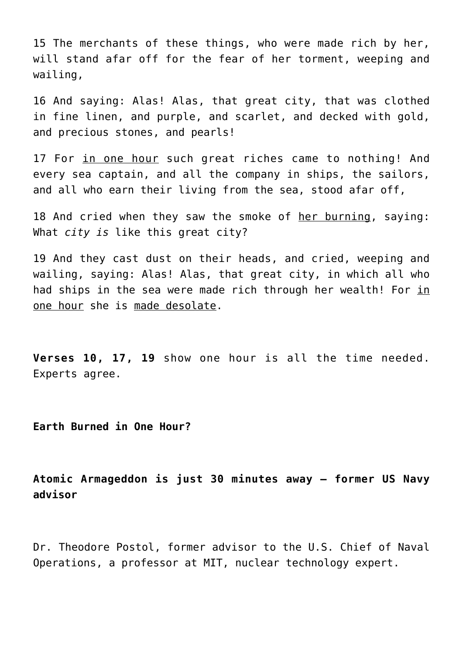15 The merchants of these things, who were made rich by her, will stand afar off for the fear of her torment, weeping and wailing,

16 And saying: Alas! Alas, that great city, that was clothed in fine linen, and purple, and scarlet, and decked with gold, and precious stones, and pearls!

17 For in one hour such great riches came to nothing! And every sea captain, and all the company in ships, the sailors, and all who earn their living from the sea, stood afar off,

18 And cried when they saw the smoke of her burning, saying: What *city is* like this great city?

19 And they cast dust on their heads, and cried, weeping and wailing, saying: Alas! Alas, that great city, in which all who had ships in the sea were made rich through her wealth! For in one hour she is made desolate.

**Verses 10, 17, 19** show one hour is all the time needed. Experts agree.

**Earth Burned in One Hour?**

**Atomic Armageddon is just 30 minutes away – former US Navy advisor**

Dr. Theodore Postol, former advisor to the U.S. Chief of Naval Operations, a professor at MIT, nuclear technology expert.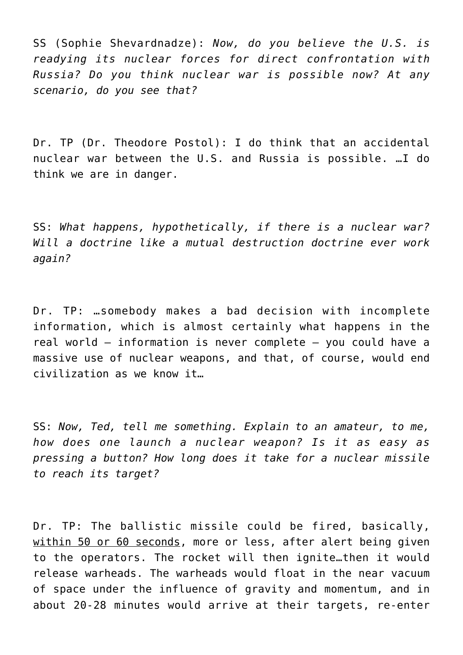SS (Sophie Shevardnadze): *Now, do you believe the U.S. is readying its nuclear forces for direct confrontation with Russia? Do you think nuclear war is possible now? At any scenario, do you see that?*

Dr. TP (Dr. Theodore Postol): I do think that an accidental nuclear war between the U.S. and Russia is possible. …I do think we are in danger.

SS: *What happens, hypothetically, if there is a nuclear war? Will a doctrine like a mutual destruction doctrine ever work again?*

Dr. TP: …somebody makes a bad decision with incomplete information, which is almost certainly what happens in the real world – information is never complete – you could have a massive use of nuclear weapons, and that, of course, would end civilization as we know it…

SS: *Now, Ted, tell me something. Explain to an amateur, to me, how does one launch a nuclear weapon? Is it as easy as pressing a button? How long does it take for a nuclear missile to reach its target?*

Dr. TP: The ballistic missile could be fired, basically, within 50 or 60 seconds, more or less, after alert being given to the operators. The rocket will then ignite…then it would release warheads. The warheads would float in the near vacuum of space under the influence of gravity and momentum, and in about 20-28 minutes would arrive at their targets, re-enter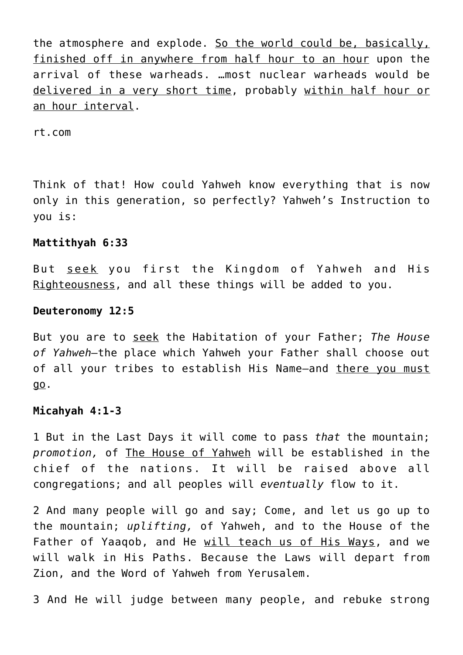the atmosphere and explode. So the world could be, basically, finished off in anywhere from half hour to an hour upon the arrival of these warheads. …most nuclear warheads would be delivered in a very short time, probably within half hour or an hour interval.

rt.com

Think of that! How could Yahweh know everything that is now only in this generation, so perfectly? Yahweh's Instruction to you is:

# **Mattithyah 6:33**

But seek you first the Kingdom of Yahweh and His Righteousness, and all these things will be added to you.

#### **Deuteronomy 12:5**

But you are to seek the Habitation of your Father; *The House of Yahweh—*the place which Yahweh your Father shall choose out of all your tribes to establish His Name—and there you must go.

## **Micahyah 4:1-3**

1 But in the Last Days it will come to pass *that* the mountain; *promotion,* of The House of Yahweh will be established in the chief of the nations. It will be raised above all congregations; and all peoples will *eventually* flow to it.

2 And many people will go and say; Come, and let us go up to the mountain; *uplifting,* of Yahweh, and to the House of the Father of Yaaqob, and He will teach us of His Ways, and we will walk in His Paths. Because the Laws will depart from Zion, and the Word of Yahweh from Yerusalem.

3 And He will judge between many people, and rebuke strong